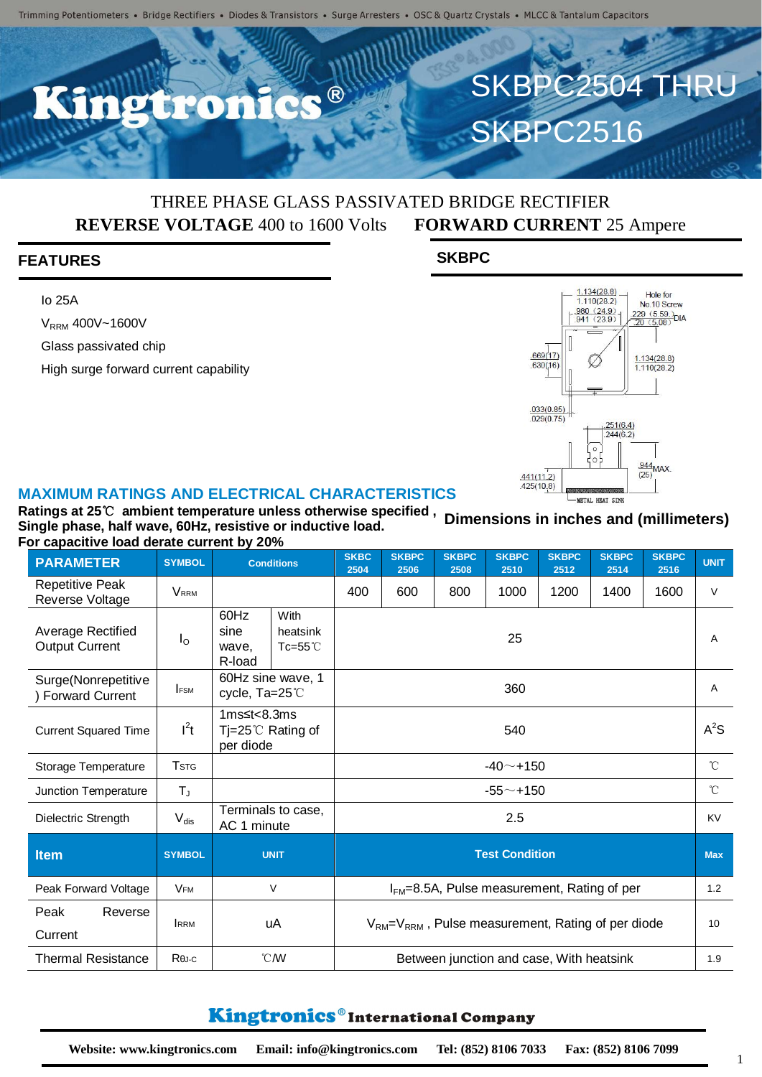R

### THREE PHASE GLASS PASSIVATED BRIDGE RECTIFIER **REVERSE VOLTAGE** 400 to 1600 Volts **FORWARD CURRENT** 25 Ampere

#### **FEATURES**

Io 25A

V<sub>RRM</sub> 400V~1600V

Glass passivated chip

High surge forward current capability





SKBPC2504 THRU

**SKBPC2516** 

#### **MAXIMUM RATINGS AND ELECTRICAL CHARACTERISTICS**

**Ratings at 25**℃ **ambient temperature unless otherwise specified , Single phase, half wave, 60Hz, resistive or inductive load. For capacitive load derate current by 20% Dimensions in inches and (millimeters)**

| <b>PARAMETER</b>                              | <b>SYMBOL</b>           | <b>Conditions</b>                                                 |  | <b>SKBC</b><br>2504                                 | <b>SKBPC</b><br>2506 | <b>SKBPC</b><br>2508 | <b>SKBPC</b><br>2510 | <b>SKBPC</b><br>2512 | <b>SKBPC</b><br>2514 | <b>SKBPC</b><br>2516 | <b>UNIT</b>  |
|-----------------------------------------------|-------------------------|-------------------------------------------------------------------|--|-----------------------------------------------------|----------------------|----------------------|----------------------|----------------------|----------------------|----------------------|--------------|
| <b>Repetitive Peak</b><br>Reverse Voltage     | <b>VRRM</b>             |                                                                   |  | 400                                                 | 600                  | 800                  | 1000                 | 1200                 | 1400                 | 1600                 | $\vee$       |
| Average Rectified<br><b>Output Current</b>    | $I_{\rm O}$             | 60Hz<br>With<br>sine<br>heatsink<br>Tc=55 $°C$<br>wave,<br>R-load |  | 25                                                  |                      |                      |                      |                      |                      |                      | A            |
| Surge(Nonrepetitive<br><b>Forward Current</b> | <b>FSM</b>              | 60Hz sine wave, 1<br>cycle, Ta=25°C                               |  | 360                                                 |                      |                      |                      |                      |                      |                      | A            |
| <b>Current Squared Time</b>                   | $I^2t$                  | 1 $ms \leq t < 8.3ms$<br>Tj=25 $\degree$ C Rating of<br>per diode |  | 540                                                 |                      |                      |                      |                      |                      |                      | $A^2S$       |
| Storage Temperature                           | <b>T</b> <sub>STG</sub> |                                                                   |  | $-40$ $-$ +150                                      |                      |                      |                      |                      |                      |                      | $^{\circ}C$  |
| Junction Temperature                          | $T_{J}$                 |                                                                   |  | $-55 - + 150$                                       |                      |                      |                      |                      |                      |                      | $^{\circ}$ C |
| Dielectric Strength                           | $V_{dis}$               | Terminals to case,<br>AC 1 minute                                 |  | 2.5                                                 |                      |                      |                      |                      |                      |                      | <b>KV</b>    |
| <b>Item</b>                                   | <b>SYMBOL</b>           | <b>UNIT</b>                                                       |  | <b>Test Condition</b>                               |                      |                      |                      |                      |                      |                      | <b>Max</b>   |
| Peak Forward Voltage                          | <b>VFM</b>              | V                                                                 |  | $IFM=8.5A$ , Pulse measurement, Rating of per       |                      |                      |                      |                      |                      |                      | 1.2          |
| Peak<br>Reverse<br>Current                    | <b>IRRM</b>             | uA                                                                |  | $VRM=VRRM$ , Pulse measurement, Rating of per diode |                      |                      |                      |                      |                      |                      | 10           |
| <b>Thermal Resistance</b>                     | $R\theta$ J-C           | $\mathcal{C}$ MV                                                  |  | Between junction and case, With heatsink            |                      |                      |                      |                      |                      |                      | 1.9          |

### Kingtronics®International Company

1